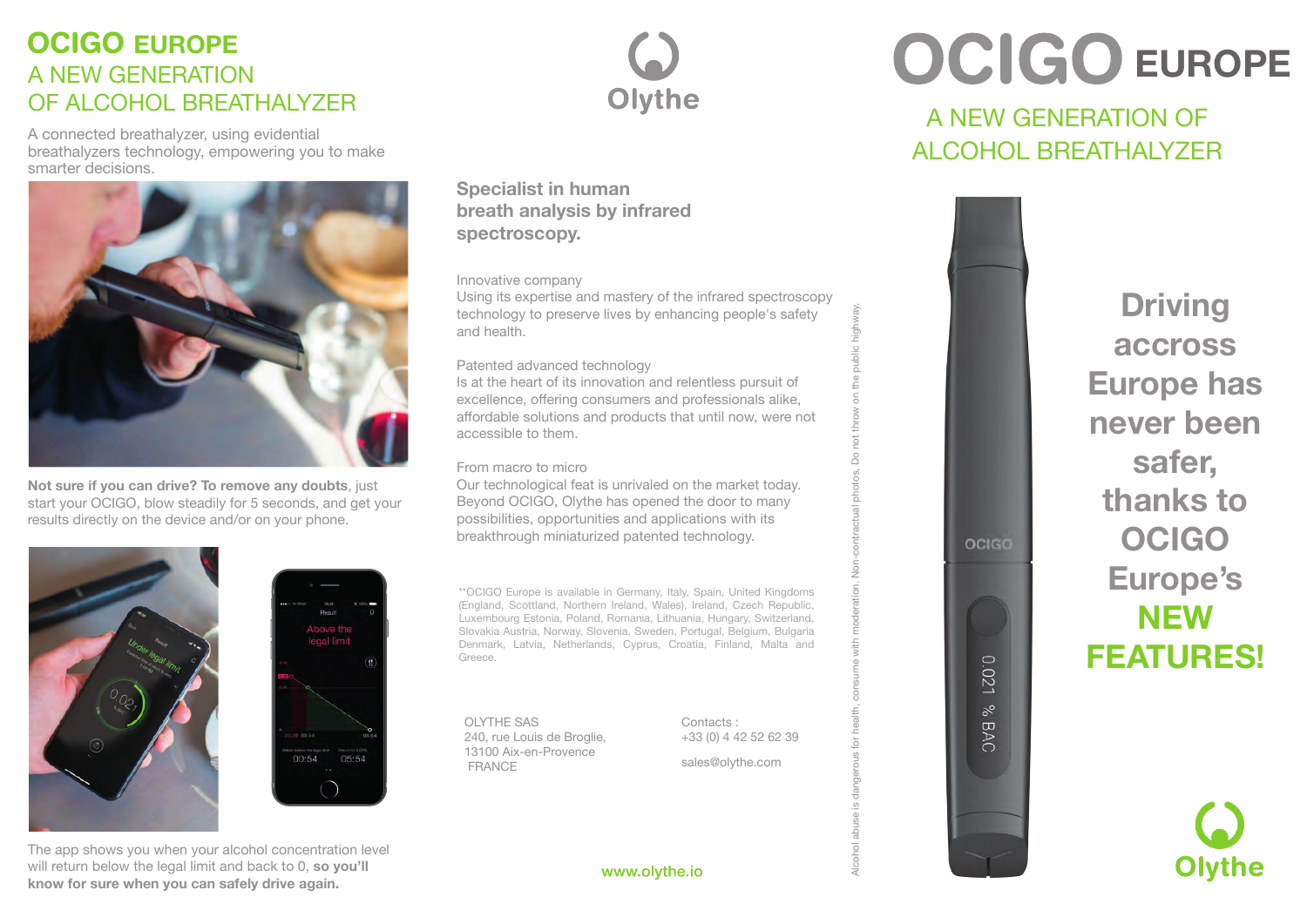### A NEW GENERATION OF ALCOHOL BREATHALYZER **OCIGO EUROPE**

A connected breathalyzer, using evidential breathalyzers technology, empowering you to make smarter decisions.



**Not sure if you can drive? To remove any doubts**, just start your OCIGO, blow steadily for 5 seconds, and get your results directly on the device and/or on your phone.





The app shows you when your alcohol concentration level will return below the legal limit and back to 0, **so you'll know for sure when you can safely drive again.**



**Specialist in human breath analysis by infrared spectroscopy.**

#### Innovative company

Using its expertise and mastery of the infrared spectroscopy technology to preserve lives by enhancing people's safety and health.

#### Patented advanced technology

Is at the heart of its innovation and relentless pursuit of excellence, offering consumers and professionals alike, affordable solutions and products that until now, were not accessible to them.

#### From macro to micro

Our technological feat is unrivaled on the market today. Beyond OCIGO, Olythe has opened the door to many possibilities, opportunities and applications with its breakthrough miniaturized patented technology.

\*\*OCIGO Europe is available in Germany, Italy, Spain, United Kingdoms (England, Scottland, Northern Ireland, Wales), Ireland, Czech Republic, Luxembourg Estonia, Poland, Romania, Lithuania, Hungary, Switzerland, Slovakia Austria, Norway, Slovenia, Sweden, Portugal, Belgium, Bulgaria Denmark, Latvia, Netherlands, Cyprus, Croatia, Finland, Malta and Greece.

OLYTHE SAS 240, rue Louis de Broglie, 13100 Aix-en-Provence FRANCE

Contacts : +33 (0) 4 42 52 62 39 Alcohol abuse is dangerous for health, consume with moderation. Non-contractual photos, Do not throw on the public highway.

OCIGO

0.021 % BAC

sales@olythe.com

# **OCIGO EUROPE**

### A NEW GENERATION OF ALCOHOL BREATHALYZER

**Driving accross Europe has never been safer, thanks to OCIGO Europe's NEW FEATURES!**



www.olythe.io